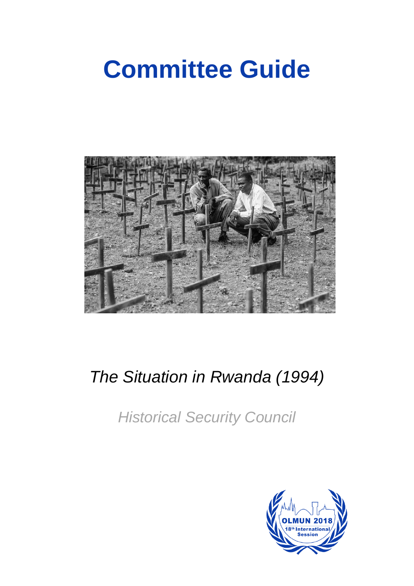# **Committee Guide**



# *The Situation in Rwanda (1994)*

*Historical Security Council*

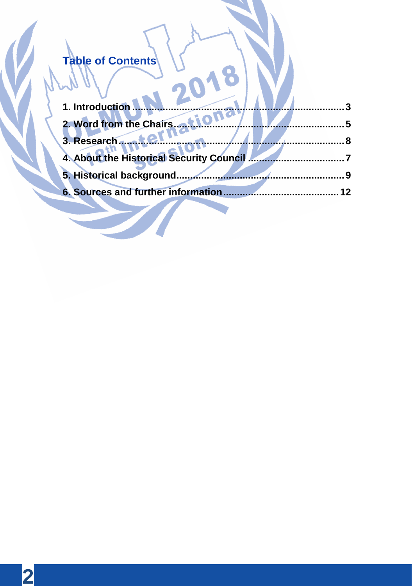# Table of Contents  $\sqrt{2}$

| 1. Introduction                          |    |
|------------------------------------------|----|
| 2. Word from the Chairs                  |    |
| 3. Research                              |    |
| 4. About the Historical Security Council |    |
| 5. Historical background.                |    |
| 6. Sources and further information       | 12 |
|                                          |    |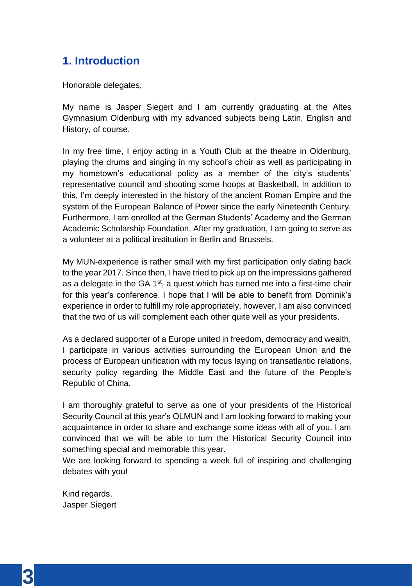# **1. Introduction**

Honorable delegates,

My name is Jasper Siegert and I am currently graduating at the Altes Gymnasium Oldenburg with my advanced subjects being Latin, English and History, of course.

In my free time, I enjoy acting in a Youth Club at the theatre in Oldenburg, playing the drums and singing in my school's choir as well as participating in my hometown's educational policy as a member of the city's students' representative council and shooting some hoops at Basketball. In addition to this, I'm deeply interested in the history of the ancient Roman Empire and the system of the European Balance of Power since the early Nineteenth Century. Furthermore, I am enrolled at the German Students' Academy and the German Academic Scholarship Foundation. After my graduation, I am going to serve as a volunteer at a political institution in Berlin and Brussels.

My MUN-experience is rather small with my first participation only dating back to the year 2017. Since then, I have tried to pick up on the impressions gathered as a delegate in the GA  $1<sup>st</sup>$ , a quest which has turned me into a first-time chair for this year's conference. I hope that I will be able to benefit from Dominik's experience in order to fulfill my role appropriately, however, I am also convinced that the two of us will complement each other quite well as your presidents.

As a declared supporter of a Europe united in freedom, democracy and wealth, I participate in various activities surrounding the European Union and the process of European unification with my focus laying on transatlantic relations, security policy regarding the Middle East and the future of the People's Republic of China.

I am thoroughly grateful to serve as one of your presidents of the Historical Security Council at this year's OLMUN and I am looking forward to making your acquaintance in order to share and exchange some ideas with all of you. I am convinced that we will be able to turn the Historical Security Council into something special and memorable this year.

We are looking forward to spending a week full of inspiring and challenging debates with you!

Kind regards, Jasper Siegert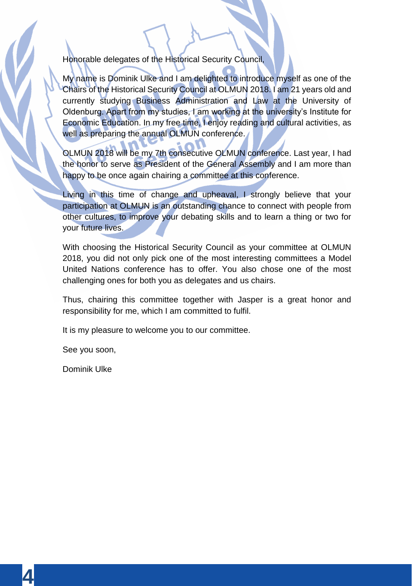Honorable delegates of the Historical Security Council,

My name is Dominik Ulke and I am delighted to introduce myself as one of the Chairs of the Historical Security Council at OLMUN 2018. I am 21 years old and currently studying Business Administration and Law at the University of Oldenburg. Apart from my studies, I am working at the university's Institute for Economic Education. In my free time, I enjoy reading and cultural activities, as well as preparing the annual OLMUN conference.

OLMUN 2018 will be my 7th consecutive OLMUN conference. Last year, I had the honor to serve as President of the General Assembly and I am more than happy to be once again chairing a committee at this conference.

Living in this time of change and upheaval, I strongly believe that your participation at OLMUN is an outstanding chance to connect with people from other cultures, to improve your debating skills and to learn a thing or two for your future lives.

With choosing the Historical Security Council as your committee at OLMUN 2018, you did not only pick one of the most interesting committees a Model United Nations conference has to offer. You also chose one of the most challenging ones for both you as delegates and us chairs.

Thus, chairing this committee together with Jasper is a great honor and responsibility for me, which I am committed to fulfil.

It is my pleasure to welcome you to our committee.

See you soon,

Dominik Ulke

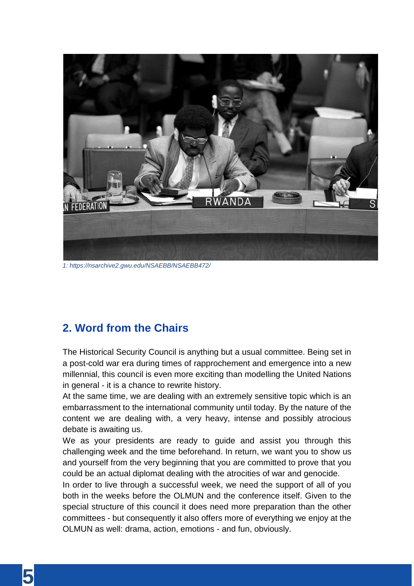

*1: https://nsarchive2.gwu.edu/NSAEBB/NSAEBB472/*

## **2. Word from the Chairs**

The Historical Security Council is anything but a usual committee. Being set in a post-cold war era during times of rapprochement and emergence into a new millennial, this council is even more exciting than modelling the United Nations in general - it is a chance to rewrite history.

At the same time, we are dealing with an extremely sensitive topic which is an embarrassment to the international community until today. By the nature of the content we are dealing with, a very heavy, intense and possibly atrocious debate is awaiting us.

We as your presidents are ready to guide and assist you through this challenging week and the time beforehand. In return, we want you to show us and yourself from the very beginning that you are committed to prove that you could be an actual diplomat dealing with the atrocities of war and genocide.

In order to live through a successful week, we need the support of all of you both in the weeks before the OLMUN and the conference itself. Given to the special structure of this council it does need more preparation than the other committees - but consequently it also offers more of everything we enjoy at the OLMUN as well: drama, action, emotions - and fun, obviously.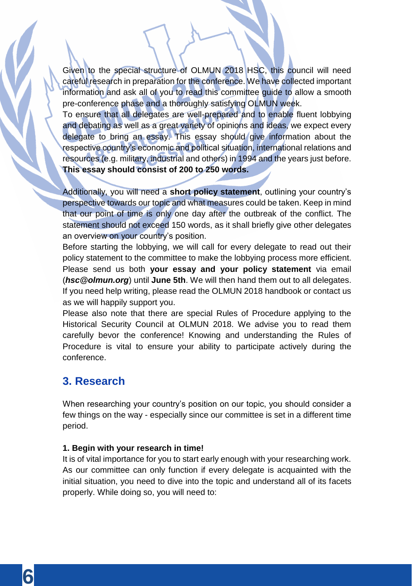Given to the special structure of OLMUN 2018 HSC, this council will need careful research in preparation for the conference. We have collected important information and ask all of you to read this committee guide to allow a smooth pre-conference phase and a thoroughly satisfying OLMUN week.

To ensure that all delegates are well-prepared and to enable fluent lobbying and debating as well as a great variety of opinions and ideas, we expect every delegate to bring an essay. This essay should give information about the respective country's economic and political situation, international relations and resources (e.g. military, industrial and others) in 1994 and the years just before. **This essay should consist of 200 to 250 words.**

Additionally, you will need a **short policy statement**, outlining your country's perspective towards our topic and what measures could be taken. Keep in mind that our point of time is only one day after the outbreak of the conflict. The statement should not exceed 150 words, as it shall briefly give other delegates an overview on your country's position.

Before starting the lobbying, we will call for every delegate to read out their policy statement to the committee to make the lobbying process more efficient. Please send us both **your essay and your policy statement** via email (*hsc@olmun.org*) until **June 5th**. We will then hand them out to all delegates. If you need help writing, please read the OLMUN 2018 handbook or contact us as we will happily support you.

Please also note that there are special Rules of Procedure applying to the Historical Security Council at OLMUN 2018. We advise you to read them carefully bevor the conference! Knowing and understanding the Rules of Procedure is vital to ensure your ability to participate actively during the conference.

### **3. Research**

When researching your country's position on our topic, you should consider a few things on the way - especially since our committee is set in a different time period.

#### **1. Begin with your research in time!**

It is of vital importance for you to start early enough with your researching work. As our committee can only function if every delegate is acquainted with the initial situation, you need to dive into the topic and understand all of its facets properly. While doing so, you will need to: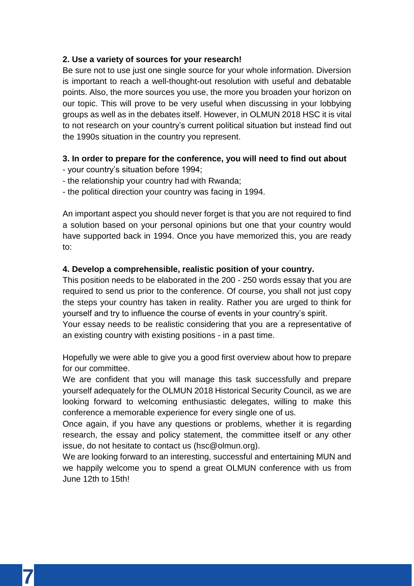#### **2. Use a variety of sources for your research!**

Be sure not to use just one single source for your whole information. Diversion is important to reach a well-thought-out resolution with useful and debatable points. Also, the more sources you use, the more you broaden your horizon on our topic. This will prove to be very useful when discussing in your lobbying groups as well as in the debates itself. However, in OLMUN 2018 HSC it is vital to not research on your country's current political situation but instead find out the 1990s situation in the country you represent.

#### **3. In order to prepare for the conference, you will need to find out about**

- your country's situation before 1994;
- the relationship your country had with Rwanda;
- the political direction your country was facing in 1994.

An important aspect you should never forget is that you are not required to find a solution based on your personal opinions but one that your country would have supported back in 1994. Once you have memorized this, you are ready to:

#### **4. Develop a comprehensible, realistic position of your country.**

This position needs to be elaborated in the 200 - 250 words essay that you are required to send us prior to the conference. Of course, you shall not just copy the steps your country has taken in reality. Rather you are urged to think for yourself and try to influence the course of events in your country's spirit.

Your essay needs to be realistic considering that you are a representative of an existing country with existing positions - in a past time.

Hopefully we were able to give you a good first overview about how to prepare for our committee.

We are confident that you will manage this task successfully and prepare yourself adequately for the OLMUN 2018 Historical Security Council, as we are looking forward to welcoming enthusiastic delegates, willing to make this conference a memorable experience for every single one of us.

Once again, if you have any questions or problems, whether it is regarding research, the essay and policy statement, the committee itself or any other issue, do not hesitate to contact us (hsc@olmun.org).

We are looking forward to an interesting, successful and entertaining MUN and we happily welcome you to spend a great OLMUN conference with us from June 12th to 15th!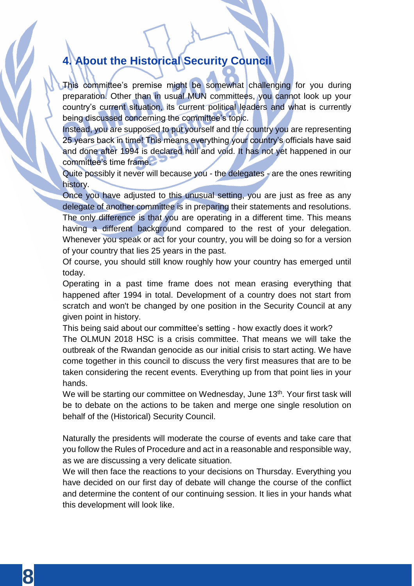# **4. About the Historical Security Council**

This committee's premise might be somewhat challenging for you during preparation. Other than in usual MUN committees, you cannot look up your country's current situation, its current political leaders and what is currently being discussed concerning the committee's topic.

Instead, you are supposed to put yourself and the country you are representing 25 years back in time! This means everything your country's officials have said and done after 1994 is declared null and void. It has not yet happened in our committee's time frame.

Quite possibly it never will because you - the delegates - are the ones rewriting history.

Once you have adjusted to this unusual setting, you are just as free as any delegate of another committee is in preparing their statements and resolutions. The only difference is that you are operating in a different time. This means having a different background compared to the rest of your delegation. Whenever you speak or act for your country, you will be doing so for a version of your country that lies 25 years in the past.

Of course, you should still know roughly how your country has emerged until today.

Operating in a past time frame does not mean erasing everything that happened after 1994 in total. Development of a country does not start from scratch and won't be changed by one position in the Security Council at any given point in history.

This being said about our committee's setting - how exactly does it work? The OLMUN 2018 HSC is a crisis committee. That means we will take the outbreak of the Rwandan genocide as our initial crisis to start acting. We have come together in this council to discuss the very first measures that are to be taken considering the recent events. Everything up from that point lies in your hands.

We will be starting our committee on Wednesday, June 13<sup>th</sup>. Your first task will be to debate on the actions to be taken and merge one single resolution on behalf of the (Historical) Security Council.

Naturally the presidents will moderate the course of events and take care that you follow the Rules of Procedure and act in a reasonable and responsible way, as we are discussing a very delicate situation.

We will then face the reactions to your decisions on Thursday. Everything you have decided on our first day of debate will change the course of the conflict and determine the content of our continuing session. It lies in your hands what this development will look like.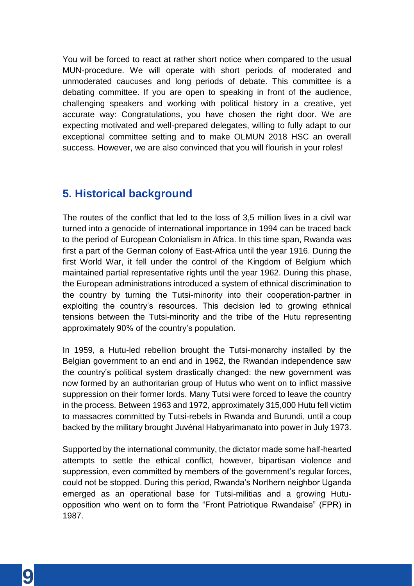You will be forced to react at rather short notice when compared to the usual MUN-procedure. We will operate with short periods of moderated and unmoderated caucuses and long periods of debate. This committee is a debating committee. If you are open to speaking in front of the audience, challenging speakers and working with political history in a creative, yet accurate way: Congratulations, you have chosen the right door. We are expecting motivated and well-prepared delegates, willing to fully adapt to our exceptional committee setting and to make OLMUN 2018 HSC an overall success. However, we are also convinced that you will flourish in your roles!

### **5. Historical background**

The routes of the conflict that led to the loss of 3,5 million lives in a civil war turned into a genocide of international importance in 1994 can be traced back to the period of European Colonialism in Africa. In this time span, Rwanda was first a part of the German colony of East-Africa until the year 1916. During the first World War, it fell under the control of the Kingdom of Belgium which maintained partial representative rights until the year 1962. During this phase, the European administrations introduced a system of ethnical discrimination to the country by turning the Tutsi-minority into their cooperation-partner in exploiting the country's resources. This decision led to growing ethnical tensions between the Tutsi-minority and the tribe of the Hutu representing approximately 90% of the country's population.

In 1959, a Hutu-led rebellion brought the Tutsi-monarchy installed by the Belgian government to an end and in 1962, the Rwandan independence saw the country's political system drastically changed: the new government was now formed by an authoritarian group of Hutus who went on to inflict massive suppression on their former lords. Many Tutsi were forced to leave the country in the process. Between 1963 and 1972, approximately 315,000 Hutu fell victim to massacres committed by Tutsi-rebels in Rwanda and Burundi, until a coup backed by the military brought Juvénal Habyarimanato into power in July 1973.

Supported by the international community, the dictator made some half-hearted attempts to settle the ethical conflict, however, bipartisan violence and suppression, even committed by members of the government's regular forces, could not be stopped. During this period, Rwanda's Northern neighbor Uganda emerged as an operational base for Tutsi-militias and a growing Hutuopposition who went on to form the "Front Patriotique Rwandaise" (FPR) in 1987.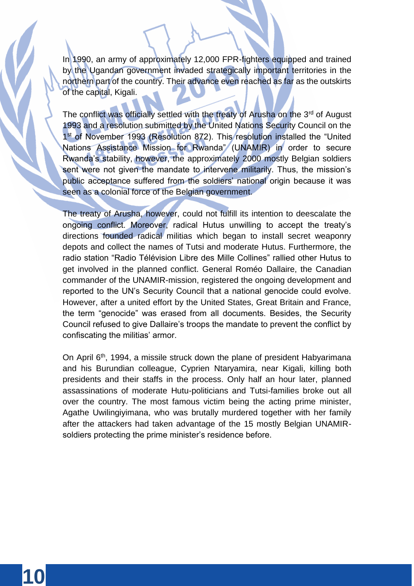In 1990, an army of approximately 12,000 FPR-fighters equipped and trained by the Ugandan government invaded strategically important territories in the northern part of the country. Their advance even reached as far as the outskirts of the capital, Kigali.

The conflict was officially settled with the treaty of Arusha on the 3<sup>rd</sup> of August 1993 and a resolution submitted by the United Nations Security Council on the 1<sup>st</sup> of November 1993 (Resolution 872). This resolution installed the "United Nations Assistance Mission for Rwanda" (UNAMIR) in order to secure Rwanda's stability, however, the approximately 2000 mostly Belgian soldiers sent were not given the mandate to intervene militarily. Thus, the mission's public acceptance suffered from the soldiers' national origin because it was seen as a colonial force of the Belgian government.

The treaty of Arusha, however, could not fulfill its intention to deescalate the ongoing conflict. Moreover, radical Hutus unwilling to accept the treaty's directions founded radical militias which began to install secret weaponry depots and collect the names of Tutsi and moderate Hutus. Furthermore, the radio station "Radio Télévision Libre des Mille Collines" rallied other Hutus to get involved in the planned conflict. General Roméo Dallaire, the Canadian commander of the UNAMIR-mission, registered the ongoing development and reported to the UN's Security Council that a national genocide could evolve. However, after a united effort by the United States, Great Britain and France, the term "genocide" was erased from all documents. Besides, the Security Council refused to give Dallaire's troops the mandate to prevent the conflict by confiscating the militias' armor.

On April 6<sup>th</sup>, 1994, a missile struck down the plane of president Habyarimana and his Burundian colleague, Cyprien Ntaryamira, near Kigali, killing both presidents and their staffs in the process. Only half an hour later, planned assassinations of moderate Hutu-politicians and Tutsi-families broke out all over the country. The most famous victim being the acting prime minister, Agathe Uwilingiyimana, who was brutally murdered together with her family after the attackers had taken advantage of the 15 mostly Belgian UNAMIRsoldiers protecting the prime minister's residence before.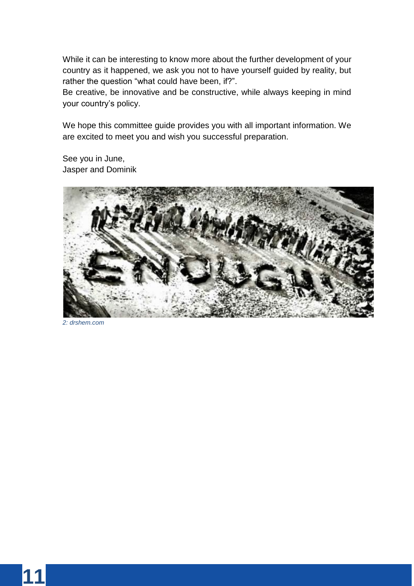While it can be interesting to know more about the further development of your country as it happened, we ask you not to have yourself guided by reality, but rather the question "what could have been, if?".

Be creative, be innovative and be constructive, while always keeping in mind your country's policy.

We hope this committee guide provides you with all important information. We are excited to meet you and wish you successful preparation.

See you in June, Jasper and Dominik



*2: drshem.com*